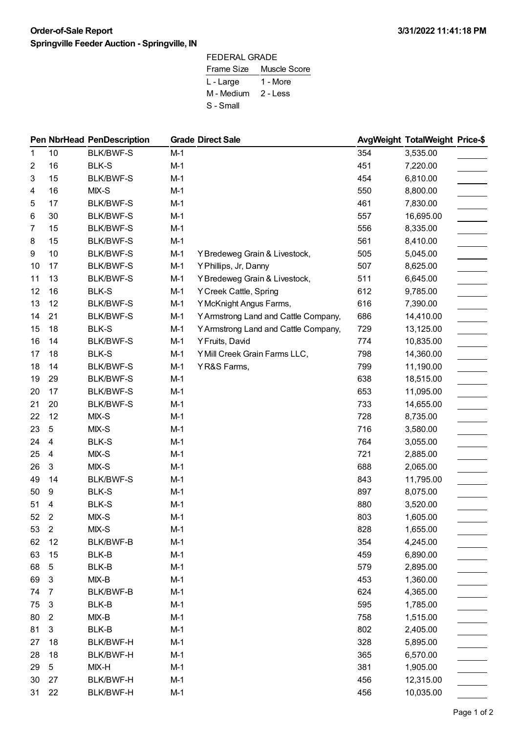## **Order-of-Sale Report 3/31/2022 11:41:18 PM Springville Feeder Auction - Springville, IN**

| FEDERAL GRADE |                         |  |  |  |  |
|---------------|-------------------------|--|--|--|--|
|               | Frame Size Muscle Score |  |  |  |  |
| L - Large     | 1 - More                |  |  |  |  |
| M - Medium    | 2 - Less                |  |  |  |  |
| S - Small     |                         |  |  |  |  |

|    |                  | <b>Pen NbrHead PenDescription</b> |       | <b>Grade Direct Sale</b>             |     | AvgWeight TotalWeight Price-\$ |  |
|----|------------------|-----------------------------------|-------|--------------------------------------|-----|--------------------------------|--|
| 1  | 10               | <b>BLK/BWF-S</b>                  | $M-1$ |                                      | 354 | 3,535.00                       |  |
| 2  | 16               | <b>BLK-S</b>                      | $M-1$ |                                      | 451 | 7,220.00                       |  |
| 3  | 15               | <b>BLK/BWF-S</b>                  | $M-1$ |                                      | 454 | 6,810.00                       |  |
| 4  | 16               | MIX-S                             | $M-1$ |                                      | 550 | 8,800.00                       |  |
| 5  | 17               | <b>BLK/BWF-S</b>                  | $M-1$ |                                      | 461 | 7,830.00                       |  |
| 6  | 30               | <b>BLK/BWF-S</b>                  | $M-1$ |                                      | 557 | 16,695.00                      |  |
| 7  | 15               | <b>BLK/BWF-S</b>                  | $M-1$ |                                      | 556 | 8,335.00                       |  |
| 8  | 15               | <b>BLK/BWF-S</b>                  | $M-1$ |                                      | 561 | 8,410.00                       |  |
| 9  | 10               | <b>BLK/BWF-S</b>                  | $M-1$ | Y Bredeweg Grain & Livestock,        | 505 | 5,045.00                       |  |
| 10 | 17               | <b>BLK/BWF-S</b>                  | $M-1$ | Y Phillips, Jr, Danny                | 507 | 8,625.00                       |  |
| 11 | 13               | <b>BLK/BWF-S</b>                  | $M-1$ | Y Bredeweg Grain & Livestock,        | 511 | 6,645.00                       |  |
| 12 | 16               | <b>BLK-S</b>                      | $M-1$ | Y Creek Cattle, Spring               | 612 | 9,785.00                       |  |
| 13 | 12               | <b>BLK/BWF-S</b>                  | $M-1$ | Y McKnight Angus Farms,              | 616 | 7,390.00                       |  |
| 14 | 21               | <b>BLK/BWF-S</b>                  | $M-1$ | Y Armstrong Land and Cattle Company, | 686 | 14,410.00                      |  |
| 15 | 18               | <b>BLK-S</b>                      | $M-1$ | Y Armstrong Land and Cattle Company, | 729 | 13,125.00                      |  |
| 16 | 14               | <b>BLK/BWF-S</b>                  | $M-1$ | Y Fruits, David                      | 774 | 10,835.00                      |  |
| 17 | 18               | <b>BLK-S</b>                      | $M-1$ | Y Mill Creek Grain Farms LLC,        | 798 | 14,360.00                      |  |
| 18 | 14               | <b>BLK/BWF-S</b>                  | $M-1$ | YR&S Farms,                          | 799 | 11,190.00                      |  |
| 19 | 29               | <b>BLK/BWF-S</b>                  | $M-1$ |                                      | 638 | 18,515.00                      |  |
| 20 | 17               | <b>BLK/BWF-S</b>                  | $M-1$ |                                      | 653 | 11,095.00                      |  |
| 21 | 20               | <b>BLK/BWF-S</b>                  | $M-1$ |                                      | 733 | 14,655.00                      |  |
| 22 | 12               | MIX-S                             | $M-1$ |                                      | 728 | 8,735.00                       |  |
| 23 | 5                | MIX-S                             | $M-1$ |                                      | 716 | 3,580.00                       |  |
| 24 | 4                | <b>BLK-S</b>                      | $M-1$ |                                      | 764 | 3,055.00                       |  |
| 25 | 4                | MIX-S                             | $M-1$ |                                      | 721 | 2,885.00                       |  |
| 26 | 3                | MIX-S                             | $M-1$ |                                      | 688 | 2,065.00                       |  |
| 49 | 14               | <b>BLK/BWF-S</b>                  | $M-1$ |                                      | 843 | 11,795.00                      |  |
| 50 | 9                | <b>BLK-S</b>                      | $M-1$ |                                      | 897 | 8,075.00                       |  |
| 51 | 4                | <b>BLK-S</b>                      | $M-1$ |                                      | 880 | 3,520.00                       |  |
| 52 | $\overline{2}$   | MIX-S                             | $M-1$ |                                      | 803 | 1,605.00                       |  |
| 53 | $\boldsymbol{2}$ | MIX-S                             | $M-1$ |                                      | 828 | 1,655.00                       |  |
| 62 | 12               | BLK/BWF-B                         | $M-1$ |                                      | 354 | 4,245.00                       |  |
| 63 | 15               | BLK-B                             | $M-1$ |                                      | 459 | 6,890.00                       |  |
| 68 | 5                | BLK-B                             | $M-1$ |                                      | 579 | 2,895.00                       |  |
| 69 | 3                | $MIX-B$                           | $M-1$ |                                      | 453 | 1,360.00                       |  |
| 74 | 7                | BLK/BWF-B                         | $M-1$ |                                      | 624 | 4,365.00                       |  |
| 75 | 3                | BLK-B                             | $M-1$ |                                      | 595 | 1,785.00                       |  |
| 80 | $\overline{2}$   | $MIX-B$                           | $M-1$ |                                      | 758 | 1,515.00                       |  |
| 81 | 3                | BLK-B                             | $M-1$ |                                      | 802 | 2,405.00                       |  |
| 27 | 18               | BLK/BWF-H                         | $M-1$ |                                      | 328 | 5,895.00                       |  |
| 28 | 18               | BLK/BWF-H                         | $M-1$ |                                      | 365 | 6,570.00                       |  |
| 29 | 5                | $MIX-H$                           | $M-1$ |                                      | 381 | 1,905.00                       |  |
| 30 | 27               | <b>BLK/BWF-H</b>                  | $M-1$ |                                      | 456 | 12,315.00                      |  |
| 31 | 22               | BLK/BWF-H                         | $M-1$ |                                      | 456 | 10,035.00                      |  |